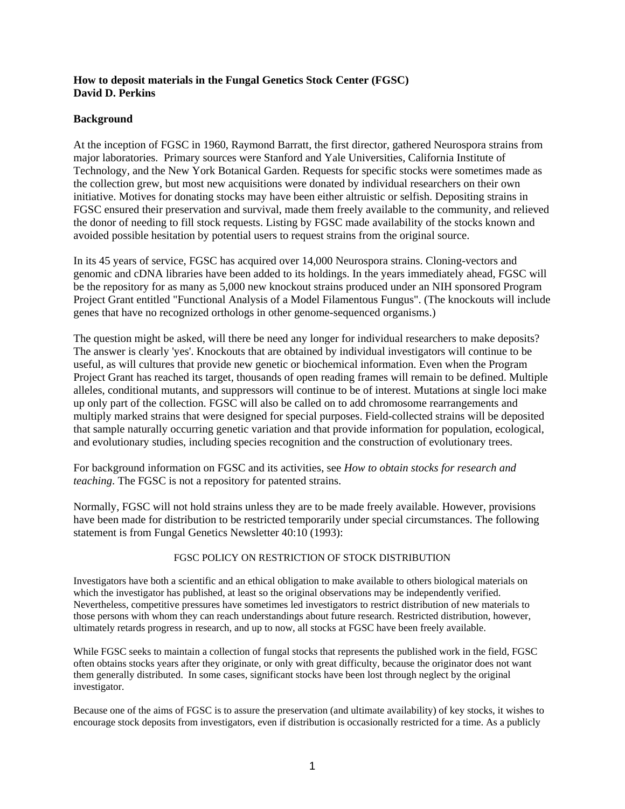## **How to deposit materials in the Fungal Genetics Stock Center (FGSC) David D. Perkins**

# **Background**

At the inception of FGSC in 1960, Raymond Barratt, the first director, gathered Neurospora strains from major laboratories. Primary sources were Stanford and Yale Universities, California Institute of Technology, and the New York Botanical Garden. Requests for specific stocks were sometimes made as the collection grew, but most new acquisitions were donated by individual researchers on their own initiative. Motives for donating stocks may have been either altruistic or selfish. Depositing strains in FGSC ensured their preservation and survival, made them freely available to the community, and relieved the donor of needing to fill stock requests. Listing by FGSC made availability of the stocks known and avoided possible hesitation by potential users to request strains from the original source.

In its 45 years of service, FGSC has acquired over 14,000 Neurospora strains. Cloning-vectors and genomic and cDNA libraries have been added to its holdings. In the years immediately ahead, FGSC will be the repository for as many as 5,000 new knockout strains produced under an NIH sponsored Program Project Grant entitled "Functional Analysis of a Model Filamentous Fungus". (The knockouts will include genes that have no recognized orthologs in other genome-sequenced organisms.)

The question might be asked, will there be need any longer for individual researchers to make deposits? The answer is clearly 'yes'. Knockouts that are obtained by individual investigators will continue to be useful, as will cultures that provide new genetic or biochemical information. Even when the Program Project Grant has reached its target, thousands of open reading frames will remain to be defined. Multiple alleles, conditional mutants, and suppressors will continue to be of interest. Mutations at single loci make up only part of the collection. FGSC will also be called on to add chromosome rearrangements and multiply marked strains that were designed for special purposes. Field-collected strains will be deposited that sample naturally occurring genetic variation and that provide information for population, ecological, and evolutionary studies, including species recognition and the construction of evolutionary trees.

For background information on FGSC and its activities, see *How to obtain stocks for research and teaching*. The FGSC is not a repository for patented strains.

Normally, FGSC will not hold strains unless they are to be made freely available. However, provisions have been made for distribution to be restricted temporarily under special circumstances. The following statement is from Fungal Genetics Newsletter 40:10 (1993):

### FGSC POLICY ON RESTRICTION OF STOCK DISTRIBUTION

Investigators have both a scientific and an ethical obligation to make available to others biological materials on which the investigator has published, at least so the original observations may be independently verified. Nevertheless, competitive pressures have sometimes led investigators to restrict distribution of new materials to those persons with whom they can reach understandings about future research. Restricted distribution, however, ultimately retards progress in research, and up to now, all stocks at FGSC have been freely available.

While FGSC seeks to maintain a collection of fungal stocks that represents the published work in the field, FGSC often obtains stocks years after they originate, or only with great difficulty, because the originator does not want them generally distributed. In some cases, significant stocks have been lost through neglect by the original investigator.

Because one of the aims of FGSC is to assure the preservation (and ultimate availability) of key stocks, it wishes to encourage stock deposits from investigators, even if distribution is occasionally restricted for a time. As a publicly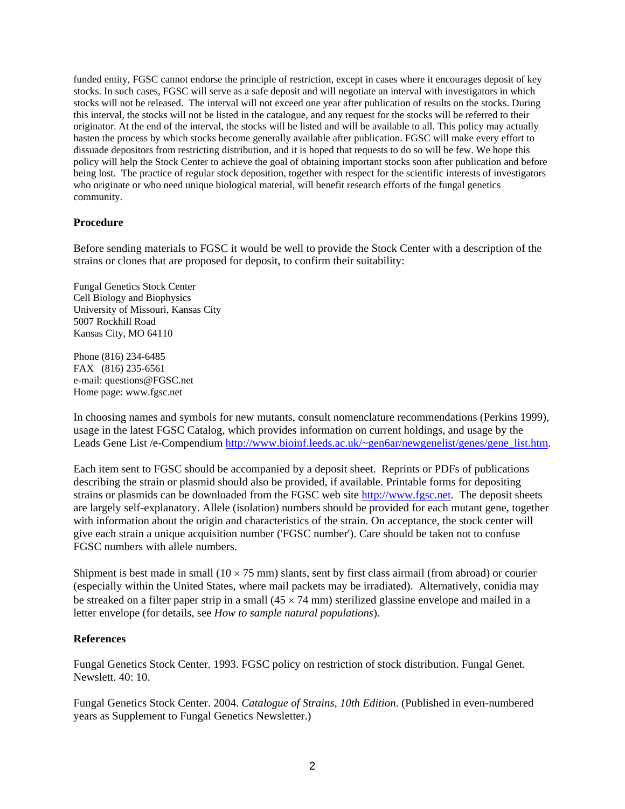funded entity, FGSC cannot endorse the principle of restriction, except in cases where it encourages deposit of key stocks. In such cases, FGSC will serve as a safe deposit and will negotiate an interval with investigators in which stocks will not be released. The interval will not exceed one year after publication of results on the stocks. During this interval, the stocks will not be listed in the catalogue, and any request for the stocks will be referred to their originator. At the end of the interval, the stocks will be listed and will be available to all. This policy may actually hasten the process by which stocks become generally available after publication. FGSC will make every effort to dissuade depositors from restricting distribution, and it is hoped that requests to do so will be few. We hope this policy will help the Stock Center to achieve the goal of obtaining important stocks soon after publication and before being lost. The practice of regular stock deposition, together with respect for the scientific interests of investigators who originate or who need unique biological material, will benefit research efforts of the fungal genetics community.

## **Procedure**

Before sending materials to FGSC it would be well to provide the Stock Center with a description of the strains or clones that are proposed for deposit, to confirm their suitability:

Fungal Genetics Stock Center Cell Biology and Biophysics University of Missouri, Kansas City 5007 Rockhill Road Kansas City, MO 64110

Phone (816) 234-6485 FAX (816) 235-6561 e-mail: [questions@FGSC.net](mailto:questions@FGSC.net)  Home page: www.fgsc.net

In choosing names and symbols for new mutants, consult nomenclature recommendations (Perkins 1999), usage in the latest FGSC Catalog, which provides information on current holdings, and usage by the Leads Gene List /e-Compendium [http://www.bioinf.leeds.ac.uk/~gen6ar/newgenelist/genes/gene\\_list.htm](http://www.bioinf.leeds.ac.uk/~gen6ar/newgenelist/genes/gene_list.htm).

Each item sent to FGSC should be accompanied by a deposit sheet. Reprints or PDFs of publications describing the strain or plasmid should also be provided, if available. Printable forms for depositing strains or plasmids can be downloaded from the FGSC web site [http://www.fgsc.net.](http://www.fgsc.net/) The deposit sheets are largely self-explanatory. Allele (isolation) numbers should be provided for each mutant gene, together with information about the origin and characteristics of the strain. On acceptance, the stock center will give each strain a unique acquisition number ('FGSC number'). Care should be taken not to confuse FGSC numbers with allele numbers.

Shipment is best made in small  $(10 \times 75 \text{ mm})$  slants, sent by first class airmail (from abroad) or courier (especially within the United States, where mail packets may be irradiated). Alternatively, conidia may be streaked on a filter paper strip in a small  $(45 \times 74 \text{ mm})$  sterilized glassine envelope and mailed in a letter envelope (for details, see *How to sample natural populations*).

#### **References**

Fungal Genetics Stock Center. 1993. FGSC policy on restriction of stock distribution. Fungal Genet. Newslett. 40: 10.

Fungal Genetics Stock Center. 2004. *Catalogue of Strains*, *10th Edition*. (Published in even-numbered years as Supplement to Fungal Genetics Newsletter.)